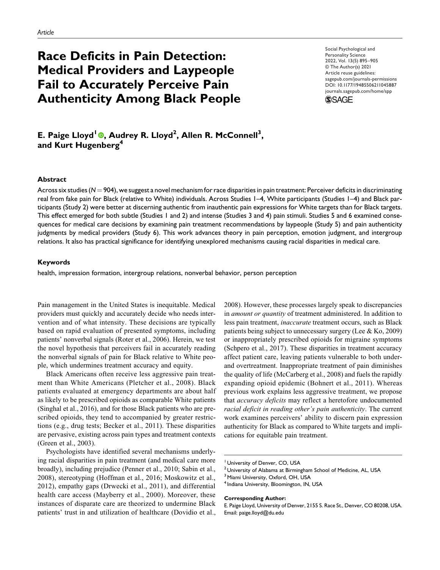# **Race Deficits in Pain Detection: Medical Providers and Laypeople Fail to Accurately Perceive Pain Authenticity Among Black People**

Social Psychological and Personality Science 2022, Vol. 13(5) 895–905 © The Author(s) 2021 Article reuse guidelines: sagepub.com/journals-permissions DOI: 10.1177/19485506211045887 journals.sagepub.com/home/spp



**E. Paige Lloyd<sup>1</sup> , Audrey R. Lloyd<sup>2</sup> , Allen R. McConnell<sup>3</sup> , and Kurt Hugenberg<sup>4</sup>**

#### **Abstract**

Across six studies (N = 904), we suggest a novel mechanism for race disparities in pain treatment: Perceiver deficits in discriminating real from fake pain for Black (relative to White) individuals. Across Studies 1–4, White participants (Studies 1–4) and Black participants (Study 2) were better at discerning authentic from inauthentic pain expressions for White targets than for Black targets. This effect emerged for both subtle (Studies 1 and 2) and intense (Studies 3 and 4) pain stimuli. Studies 5 and 6 examined consequences for medical care decisions by examining pain treatment recommendations by laypeople (Study 5) and pain authenticity judgments by medical providers (Study 6). This work advances theory in pain perception, emotion judgment, and intergroup relations. It also has practical significance for identifying unexplored mechanisms causing racial disparities in medical care.

## **Keywords**

health, impression formation, intergroup relations, nonverbal behavior, person perception

Pain management in the United States is inequitable. Medical providers must quickly and accurately decide who needs intervention and of what intensity. These decisions are typically based on rapid evaluation of presented symptoms, including patients' nonverbal signals (Roter et al., 2006). Herein, we test the novel hypothesis that perceivers fail in accurately reading the nonverbal signals of pain for Black relative to White people, which undermines treatment accuracy and equity.

Black Americans often receive less aggressive pain treatment than White Americans (Pletcher et al., 2008). Black patients evaluated at emergency departments are about half as likely to be prescribed opioids as comparable White patients (Singhal et al., 2016), and for those Black patients who are prescribed opioids, they tend to accompanied by greater restrictions (e.g., drug tests; Becker et al., 2011). These disparities are pervasive, existing across pain types and treatment contexts (Green et al., 2003).

Psychologists have identified several mechanisms underlying racial disparities in pain treatment (and medical care more broadly), including prejudice (Penner et al., 2010; Sabin et al., 2008), stereotyping (Hoffman et al., 2016; Moskowitz et al., 2012), empathy gaps (Drwecki et al., 2011), and differential health care access (Mayberry et al., 2000). Moreover, these instances of disparate care are theorized to undermine Black patients' trust in and utilization of healthcare (Dovidio et al., 2008). However, these processes largely speak to discrepancies in amount or quantity of treatment administered. In addition to less pain treatment, inaccurate treatment occurs, such as Black patients being subject to unnecessary surgery (Lee & Ko, 2009) or inappropriately prescribed opioids for migraine symptoms (Schpero et al., 2017). These disparities in treatment accuracy affect patient care, leaving patients vulnerable to both underand overtreatment. Inappropriate treatment of pain diminishes the quality of life (McCarberg et al., 2008) and fuels the rapidly expanding opioid epidemic (Bohnert et al., 2011). Whereas previous work explains less aggressive treatment, we propose that accuracy deficits may reflect a heretofore undocumented racial deficit in reading other's pain authenticity. The current work examines perceivers' ability to discern pain expression authenticity for Black as compared to White targets and implications for equitable pain treatment.

#### **Corresponding Author:**

<sup>&</sup>lt;sup>1</sup> University of Denver, CO, USA

<sup>2</sup> University of Alabama at Birmingham School of Medicine, AL, USA

<sup>&</sup>lt;sup>3</sup> Miami University, Oxford, OH, USA

<sup>&</sup>lt;sup>4</sup> Indiana University, Bloomington, IN, USA

E. Paige Lloyd, University of Denver, 2155 S. Race St., Denver, CO 80208, USA. Email: paige.lloyd@du.edu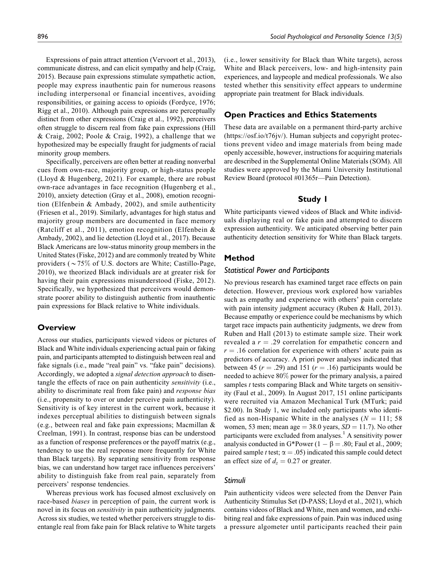Expressions of pain attract attention (Vervoort et al., 2013), communicate distress, and can elicit sympathy and help (Craig, 2015). Because pain expressions stimulate sympathetic action, people may express inauthentic pain for numerous reasons including interpersonal or financial incentives, avoiding responsibilities, or gaining access to opioids (Fordyce, 1976; Rigg et al., 2010). Although pain expressions are perceptually distinct from other expressions (Craig et al., 1992), perceivers often struggle to discern real from fake pain expressions (Hill & Craig, 2002; Poole & Craig, 1992), a challenge that we hypothesized may be especially fraught for judgments of racial minority group members.

Specifically, perceivers are often better at reading nonverbal cues from own-race, majority group, or high-status people (Lloyd & Hugenberg, 2021). For example, there are robust own-race advantages in face recognition (Hugenberg et al., 2010), anxiety detection (Gray et al., 2008), emotion recognition (Elfenbein & Ambady, 2002), and smile authenticity (Friesen et al., 2019). Similarly, advantages for high status and majority group members are documented in face memory (Ratcliff et al., 2011), emotion recognition (Elfenbein & Ambady, 2002), and lie detection (Lloyd et al., 2017). Because Black Americans are low-status minority group members in the United States (Fiske, 2012) and are commonly treated by White providers ( $\sim$ 75% of U.S. doctors are White; Castillo-Page, 2010), we theorized Black individuals are at greater risk for having their pain expressions misunderstood (Fiske, 2012). Specifically, we hypothesized that perceivers would demonstrate poorer ability to distinguish authentic from inauthentic pain expressions for Black relative to White individuals.

# **Overview**

Across our studies, participants viewed videos or pictures of Black and White individuals experiencing actual pain or faking pain, and participants attempted to distinguish between real and fake signals (i.e., made "real pain" vs. "fake pain" decisions). Accordingly, we adopted a signal detection approach to disentangle the effects of race on pain authenticity sensitivity (i.e., ability to discriminate real from fake pain) and response bias (i.e., propensity to over or under perceive pain authenticity). Sensitivity is of key interest in the current work, because it indexes perceptual abilities to distinguish between signals (e.g., between real and fake pain expressions; Macmillan & Creelman, 1991). In contrast, response bias can be understood as a function of response preferences or the payoff matrix (e.g., tendency to use the real response more frequently for White than Black targets). By separating sensitivity from response bias, we can understand how target race influences perceivers' ability to distinguish fake from real pain, separately from perceivers' response tendencies.

Whereas previous work has focused almost exclusively on race-based biases in perception of pain, the current work is novel in its focus on sensitivity in pain authenticity judgments. Across six studies, we tested whether perceivers struggle to disentangle real from fake pain for Black relative to White targets (i.e., lower sensitivity for Black than White targets), across White and Black perceivers, low- and high-intensity pain experiences, and laypeople and medical professionals. We also tested whether this sensitivity effect appears to undermine appropriate pain treatment for Black individuals.

# **Open Practices and Ethics Statements**

These data are available on a permanent third-party archive (https://osf.io/t76jv/). Human subjects and copyright protections prevent video and image materials from being made openly accessible, however, instructions for acquiring materials are described in the Supplemental Online Materials (SOM). All studies were approved by the Miami University Institutional Review Board (protocol #01365r—Pain Detection).

# **Study 1**

White participants viewed videos of Black and White individuals displaying real or fake pain and attempted to discern expression authenticity. We anticipated observing better pain authenticity detection sensitivity for White than Black targets.

# **Method**

# *Statistical Power and Participants*

No previous research has examined target race effects on pain detection. However, previous work explored how variables such as empathy and experience with others' pain correlate with pain intensity judgment accuracy (Ruben & Hall, 2013). Because empathy or experience could be mechanisms by which target race impacts pain authenticity judgments, we drew from Ruben and Hall (2013) to estimate sample size. Their work revealed a  $r = .29$  correlation for empathetic concern and  $r = .16$  correlation for experience with others' acute pain as predictors of accuracy. A priori power analyses indicated that between 45 ( $r = .29$ ) and 151 ( $r = .16$ ) participants would be needed to achieve 80% power for the primary analysis, a paired samples *t* tests comparing Black and White targets on sensitivity (Faul et al., 2009). In August 2017, 151 online participants were recruited via Amazon Mechanical Turk (MTurk; paid \$2.00). In Study 1, we included only participants who identified as non-Hispanic White in the analyses ( $N = 111$ ; 58 women, 53 men; mean age  $=$  38.0 years,  $SD = 11.7$ ). No other participants were excluded from analyses.<sup>1</sup> A sensitivity power analysis conducted in G\*Power (1  $- \beta = .80$ ; Faul et al., 2009; paired sample t test;  $\alpha = .05$ ) indicated this sample could detect an effect size of  $d_z = 0.27$  or greater.

# *Stimuli*

Pain authenticity videos were selected from the Denver Pain Authenticity Stimulus Set (D-PASS; Lloyd et al., 2021), which contains videos of Black and White, men and women, and exhibiting real and fake expressions of pain. Pain was induced using a pressure algometer until participants reached their pain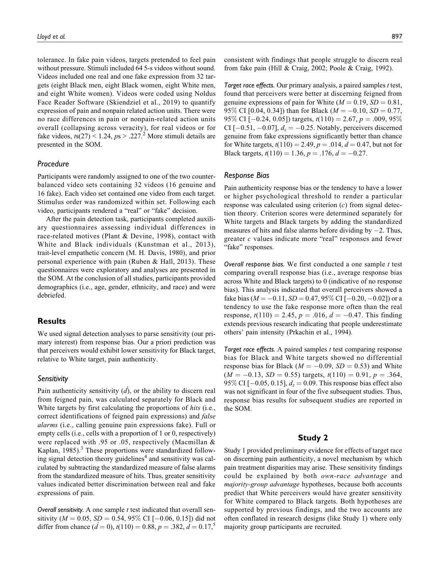tolerance. In fake pain videos, targets pretended to feel pain without pressure. Stimuli included 64 5-s videos without sound. Videos included one real and one fake expression from 32 targets (eight Black men, eight Black women, eight White men, and eight White women). Videos were coded using Noldus Face Reader Software (Skiendziel et al., 2019) to quantify expression of pain and nonpain related action units. There were no race differences in pain or nonpain-related action units overall (collapsing across veracity), for real videos or for fake videos,  $ts(27) < 1.24$ ,  $ps > .227$ .<sup>2</sup> More stimuli details are presented in the SOM.

### *Procedure*

Participants were randomly assigned to one of the two counterbalanced video sets containing 32 videos (16 genuine and 16 fake). Each video set contained one video from each target. Stimulus order was randomized within set. Following each video, participants rendered a "real" or "fake" decision.

After the pain detection task, participants completed auxiliary questionnaires assessing individual differences in race-related motives (Plant & Devine, 1998), contact with White and Black individuals (Kunstman et al., 2013), trait-level empathetic concern (M. H. Davis, 1980), and prior personal experience with pain (Ruben & Hall, 2013). These questionnaires were exploratory and analyses are presented in the SOM. At the conclusion of all studies, participants provided demographics (i.e., age, gender, ethnicity, and race) and were debriefed.

### **Results**

We used signal detection analyses to parse sensitivity (our primary interest) from response bias. Our a priori prediction was that perceivers would exhibit lower sensitivity for Black target, relative to White target, pain authenticity.

#### *Sensitivity*

Pain authenticity sensitivity  $(d)$ , or the ability to discern real from feigned pain, was calculated separately for Black and White targets by first calculating the proportions of *hits* (i.e., correct identifications of feigned pain expressions) and false alarms (i.e., calling genuine pain expressions fake). Full or empty cells (i.e., cells with a proportion of 1 or 0, respectively) were replaced with .95 or .05, respectively (Macmillan & Kaplan,  $1985$ ).<sup>3</sup> These proportions were standardized following signal detection theory guidelines<sup>4</sup> and sensitivity was calculated by subtracting the standardized measure of false alarms from the standardized measure of hits. Thus, greater sensitivity values indicated better discrimination between real and fake expressions of pain.

*Overall sensitivity.* A one sample *t* test indicated that overall sensitivity ( $M = 0.05$ ,  $SD = 0.54$ , 95% CI [-0.06, 0.15]) did not differ from chance  $(d = 0)$ ,  $t(110) = 0.88$ ,  $p = .382$ ,  $d = 0.17$ ,<sup>5</sup>

*Target race effects.* Our primary analysis, a paired samples *t* test, found that perceivers were better at discerning feigned from genuine expressions of pain for White ( $M = 0.19$ ,  $SD = 0.81$ , 95% CI [0.04, 0.34]) than for Black ( $M = -0.10$ ,  $SD = 0.77$ , 95% CI [ $-0.24$ , 0.05]) targets,  $t(110) = 2.67$ ,  $p = .009$ , 95% CI  $[-0.51, -0.07]$ ,  $d_z = -0.25$ . Notably, perceivers discerned genuine from fake expressions significantly better than chance for White targets,  $t(110) = 2.49$ ,  $p = .014$ ,  $d = 0.47$ , but not for Black targets,  $t(110) = 1.36$ ,  $p = .176$ ,  $d = -0.27$ .

#### *Response Bias*

Pain authenticity response bias or the tendency to have a lower or higher psychological threshold to render a particular response was calculated using criterion  $(c)$  from signal detection theory. Criterion scores were determined separately for White targets and Black targets by adding the standardized measures of hits and false alarms before dividing by  $-2$ . Thus, greater  $c$  values indicate more "real" responses and fewer "fake" responses.

*Overall response bias.* We first conducted a one sample t test comparing overall response bias (i.e., average response bias across White and Black targets) to 0 (indicative of no response bias). This analysis indicated that overall perceivers showed a fake bias ( $M = -0.11$ ,  $SD = 0.47$ ,  $95\%$  CI [ $-0.20$ ,  $-0.02$ ]) or a tendency to use the fake response more often than the real response,  $t(110) = 2.45$ ,  $p = .016$ ,  $d = -0.47$ . This finding extends previous research indicating that people underestimate others' pain intensity (Prkachin et al., 1994).

*Target race effects.* A paired samples t test comparing response bias for Black and White targets showed no differential response bias for Black ( $M = -0.09$ ,  $SD = 0.53$ ) and White  $(M = -0.13, SD = 0.55)$  targets,  $t(110) = 0.91, p = .364,$ 95% CI [ $-0.05$ , 0.15],  $d_z = 0.09$ . This response bias effect also was not significant in four of the five subsequent studies. Thus, response bias results for subsequent studies are reported in the SOM.

### **Study 2**

Study 1 provided preliminary evidence for effects of target race on discerning pain authenticity, a novel mechanism by which pain treatment disparities may arise. These sensitivity findings could be explained by both own-race advantage and majority-group advantage hypotheses, because both accounts predict that White perceivers would have greater sensitivity for White compared to Black targets. Both hypotheses are supported by previous findings, and the two accounts are often conflated in research designs (like Study 1) where only majority group participants are recruited.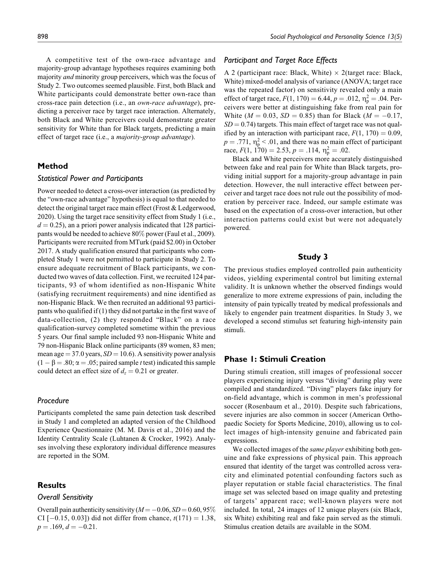A competitive test of the own-race advantage and majority-group advantage hypotheses requires examining both majority *and* minority group perceivers, which was the focus of Study 2. Two outcomes seemed plausible. First, both Black and White participants could demonstrate better own-race than cross-race pain detection (i.e., an own-race advantage), predicting a perceiver race by target race interaction. Alternately, both Black and White perceivers could demonstrate greater sensitivity for White than for Black targets, predicting a main effect of target race (i.e., a majority-group advantage).

# **Method**

### *Statistical Power and Participants*

Power needed to detect a cross-over interaction (as predicted by the "own-race advantage" hypothesis) is equal to that needed to detect the original target race main effect (Frost & Ledgerwood, 2020). Using the target race sensitivity effect from Study 1 (i.e.,  $d = 0.25$ , an a priori power analysis indicated that 128 participants would be needed to achieve 80% power (Faul et al., 2009). Participants were recruited from MTurk (paid \$2.00) in October 2017. A study qualification ensured that participants who completed Study 1 were not permitted to participate in Study 2. To ensure adequate recruitment of Black participants, we conducted two waves of data collection. First, we recruited 124 participants, 93 of whom identified as non-Hispanic White (satisfying recruitment requirements) and nine identified as non-Hispanic Black. We then recruited an additional 93 participants who qualified if (1) they did not partake in the first wave of data-collection, (2) they responded "Black" on a race qualification-survey completed sometime within the previous 5 years. Our final sample included 93 non-Hispanic White and 79 non-Hispanic Black online participants (89 women, 83 men; mean age = 37.0 years,  $SD = 10.6$ ). A sensitivity power analysis  $(1 - \beta = .80; \alpha = .05;$  paired sample t test) indicated this sample could detect an effect size of  $d_z = 0.21$  or greater.

### *Procedure*

Participants completed the same pain detection task described in Study 1 and completed an adapted version of the Childhood Experience Questionnaire (M. M. Davis et al., 2016) and the Identity Centrality Scale (Luhtanen & Crocker, 1992). Analyses involving these exploratory individual difference measures are reported in the SOM.

# **Results**

#### *Overall Sensitivity*

Overall pain authenticity sensitivity ( $M = -0.06$ ,  $SD = 0.60$ ,  $95\%$ ) CI  $[-0.15, 0.03]$ ) did not differ from chance,  $t(171) = 1.38$ ,  $p = .169, d = -0.21.$ 

### *Participant and Target Race Effects*

A 2 (participant race: Black, White)  $\times$  2(target race: Black, White) mixed-model analysis of variance (ANOVA; target race was the repeated factor) on sensitivity revealed only a main effect of target race,  $F(1, 170) = 6.44$ ,  $p = .012$ ,  $\eta_p^2 = .04$ . Perceivers were better at distinguishing fake from real pain for White ( $M = 0.03$ ,  $SD = 0.85$ ) than for Black ( $M = -0.17$ ,  $SD = 0.74$ ) targets. This main effect of target race was not qualified by an interaction with participant race,  $F(1, 170) = 0.09$ ,  $p = .771$ ,  $\eta_p^2 < .01$ , and there was no main effect of participant race,  $F(1, 170) = 2.53, p = .114, \eta_p^2 = .02.$ 

Black and White perceivers more accurately distinguished between fake and real pain for White than Black targets, providing initial support for a majority-group advantage in pain detection. However, the null interactive effect between perceiver and target race does not rule out the possibility of moderation by perceiver race. Indeed, our sample estimate was based on the expectation of a cross-over interaction, but other interaction patterns could exist but were not adequately powered.

# **Study 3**

The previous studies employed controlled pain authenticity videos, yielding experimental control but limiting external validity. It is unknown whether the observed findings would generalize to more extreme expressions of pain, including the intensity of pain typically treated by medical professionals and likely to engender pain treatment disparities. In Study 3, we developed a second stimulus set featuring high-intensity pain stimuli.

# **Phase 1: Stimuli Creation**

During stimuli creation, still images of professional soccer players experiencing injury versus "diving" during play were compiled and standardized. "Diving" players fake injury for on-field advantage, which is common in men's professional soccer (Rosenbaum et al., 2010). Despite such fabrications, severe injuries are also common in soccer (American Orthopaedic Society for Sports Medicine, 2010), allowing us to collect images of high-intensity genuine and fabricated pain expressions.

We collected images of the *same player* exhibiting both genuine and fake expressions of physical pain. This approach ensured that identity of the target was controlled across veracity and eliminated potential confounding factors such as player reputation or stable facial characteristics. The final image set was selected based on image quality and pretesting of targets' apparent race; well-known players were not included. In total, 24 images of 12 unique players (six Black, six White) exhibiting real and fake pain served as the stimuli. Stimulus creation details are available in the SOM.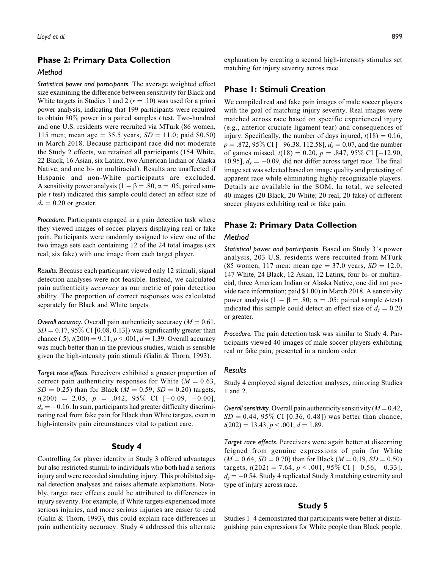### **Phase 2: Primary Data Collection**

### *Method*

*Statistical power and participants.* The average weighted effect size examining the difference between sensitivity for Black and White targets in Studies 1 and 2 ( $r = .10$ ) was used for a priori power analysis, indicating that 199 participants were required to obtain  $80\%$  power in a paired samples t test. Two-hundred and one U.S. residents were recruited via MTurk (86 women, 115 men; mean age = 35.5 years,  $SD = 11.0$ ; paid \$0.50) in March 2018. Because participant race did not moderate the Study 2 effects, we retained all participants (154 White, 22 Black, 16 Asian, six Latinx, two American Indian or Alaska Native, and one bi- or multiracial). Results are unaffected if Hispanic and non-White participants are excluded. A sensitivity power analysis ( $1 - \beta = .80$ ,  $\alpha = .05$ ; paired sample  $t$  test) indicated this sample could detect an effect size of  $d_z = 0.20$  or greater.

*Procedure.* Participants engaged in a pain detection task where they viewed images of soccer players displaying real or fake pain. Participants were randomly assigned to view one of the two image sets each containing 12 of the 24 total images (six real, six fake) with one image from each target player.

*Results.* Because each participant viewed only 12 stimuli, signal detection analyses were not feasible. Instead, we calculated pain authenticity accuracy as our metric of pain detection ability. The proportion of correct responses was calculated separately for Black and White targets.

*Overall accuracy.* Overall pain authenticity accuracy  $(M = 0.61,$  $SD = 0.17, 95\%$  CI [0.08, 0.13]) was significantly greater than chance (.5),  $t(200) = 9.11$ ,  $p < .001$ ,  $d = 1.39$ . Overall accuracy was much better than in the previous studies, which is sensible given the high-intensity pain stimuli (Galin & Thorn, 1993).

*Target race effects.* Perceivers exhibited a greater proportion of correct pain authenticity responses for White  $(M = 0.63,$  $SD = 0.25$ ) than for Black ( $M = 0.59$ ,  $SD = 0.20$ ) targets,  $t(200) = 2.05, p = .042, 95\% \text{ CI} [-0.09, -0.00],$  $d_z = -0.16$ . In sum, participants had greater difficulty discriminating real from fake pain for Black than White targets, even in high-intensity pain circumstances vital to patient care.

### **Study 4**

Controlling for player identity in Study 3 offered advantages but also restricted stimuli to individuals who both had a serious injury and were recorded simulating injury. This prohibited signal detection analyses and raises alternate explanations. Notably, target race effects could be attributed to differences in injury severity. For example, if White targets experienced more serious injuries, and more serious injuries are easier to read (Galin & Thorn, 1993), this could explain race differences in pain authenticity accuracy. Study 4 addressed this alternate

explanation by creating a second high-intensity stimulus set matching for injury severity across race.

# **Phase 1: Stimuli Creation**

We compiled real and fake pain images of male soccer players with the goal of matching injury severity. Real images were matched across race based on specific experienced injury (e.g., anterior cruciate ligament tear) and consequences of injury. Specifically, the number of days injured,  $t(18) = 0.16$ ,  $p = .872, 95\% \text{ CI} [-96.38, 112.58], d_s = 0.07, \text{ and the number}$ of games missed,  $t(18) = 0.20$ ,  $p = .847$ , 95% CI [-12.90, 10.95],  $d_s = -0.09$ , did not differ across target race. The final image set was selected based on image quality and pretesting of apparent race while eliminating highly recognizable players. Details are available in the SOM. In total, we selected 40 images (20 Black, 20 White; 20 real, 20 fake) of different soccer players exhibiting real or fake pain.

# **Phase 2: Primary Data Collection**

# *Method*

*Statistical power and participants.* Based on Study 3's power analysis, 203 U.S. residents were recruited from MTurk (85 women, 117 men; mean age  $= 37.0$  years,  $SD = 12.0$ ; 147 White, 24 Black, 12 Asian, 12 Latinx, four bi- or multiracial, three American Indian or Alaska Native, one did not provide race information; paid \$1.00) in March 2018. A sensitivity power analysis  $(1 - \beta = .80; \alpha = .05;$  paired sample t-test) indicated this sample could detect an effect size of  $d_z = 0.20$ or greater.

*Procedure.* The pain detection task was similar to Study 4. Participants viewed 40 images of male soccer players exhibiting real or fake pain, presented in a random order.

#### *Results*

Study 4 employed signal detection analyses, mirroring Studies 1 and 2.

*Overall sensitivity.* Overall pain authenticity sensitivity  $(M = 0.42,$  $SD = 0.44, 95\% \text{ CI}$  [0.36, 0.48]) was better than chance,  $t(202) = 13.43, p < .001, d = 1.89.$ 

*Target race effects.* Perceivers were again better at discerning feigned from genuine expressions of pain for White  $(M = 0.64, SD = 0.70)$  than for Black  $(M = 0.19, SD = 0.50)$ targets,  $t(202) = 7.64$ ,  $p < .001$ , 95% CI [-0.56, -0.33],  $d_z = -0.54$ . Study 4 replicated Study 3 matching extremity and type of injury across race.

### **Study 5**

Studies 1–4 demonstrated that participants were better at distinguishing pain expressions for White people than Black people.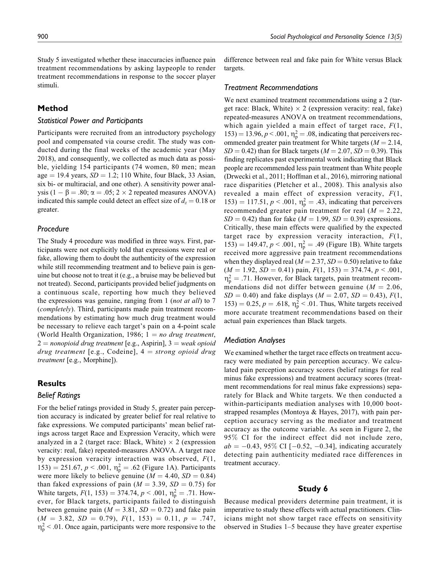Study 5 investigated whether these inaccuracies influence pain treatment recommendations by asking laypeople to render treatment recommendations in response to the soccer player stimuli.

## **Method**

# *Statistical Power and Participants*

Participants were recruited from an introductory psychology pool and compensated via course credit. The study was conducted during the final weeks of the academic year (May 2018), and consequently, we collected as much data as possible, yielding 154 participants (74 women, 80 men; mean age  $= 19.4$  years,  $SD = 1.2$ ; 110 White, four Black, 33 Asian, six bi- or multiracial, and one other). A sensitivity power analysis (1 -  $\beta$  = .80;  $\alpha$  = .05; 2 × 2 repeated measures ANOVA) indicated this sample could detect an effect size of  $d_z = 0.18$  or greater.

### *Procedure*

The Study 4 procedure was modified in three ways. First, participants were not explicitly told that expressions were real or fake, allowing them to doubt the authenticity of the expression while still recommending treatment and to believe pain is genuine but choose not to treat it (e.g., a bruise may be believed but not treated). Second, participants provided belief judgments on a continuous scale, reporting how much they believed the expressions was genuine, ranging from 1 (not at all) to 7 (completely). Third, participants made pain treatment recommendations by estimating how much drug treatment would be necessary to relieve each target's pain on a 4-point scale (World Health Organization, 1986;  $1 = no$  drug treatment,  $2 =$  nonopioid drug treatment [e.g., Aspirin],  $3 =$  weak opioid drug treatment [e.g., Codeine],  $4 =$  strong opioid drug treatment [e.g., Morphine]).

### **Results**

# *Belief Ratings*

For the belief ratings provided in Study 5, greater pain perception accuracy is indicated by greater belief for real relative to fake expressions. We computed participants' mean belief ratings across target Race and Expression Veracity, which were analyzed in a 2 (target race: Black, White)  $\times$  2 (expression veracity: real, fake) repeated-measures ANOVA. A target race by expression veracity interaction was observed,  $F(1,$ 153) = 251.67,  $p < .001$ ,  $\eta_p^2 = .62$  (Figure 1A). Participants were more likely to believe genuine  $(M = 4.40, SD = 0.84)$ than faked expressions of pain ( $M = 3.39$ ,  $SD = 0.75$ ) for White targets,  $F(1, 153) = 374.74, p < .001, \eta_{p}^{2} = .71$ . However, for Black targets, participants failed to distinguish between genuine pain ( $M = 3.81$ ,  $SD = 0.72$ ) and fake pain  $(M = 3.82, SD = 0.79), F(1, 153) = 0.11, p = .747,$  $\eta_{\rm p}^2$  < .01. Once again, participants were more responsive to the difference between real and fake pain for White versus Black targets.

### *Treatment Recommendations*

We next examined treatment recommendations using a 2 (target race: Black, White)  $\times$  2 (expression veracity: real, fake) repeated-measures ANOVA on treatment recommendations, which again yielded a main effect of target race,  $F(1, 1)$  $153) = 13.96, p < .001, \eta_p^2 = .08$ , indicating that perceivers recommended greater pain treatment for White targets ( $M = 2.14$ ,  $SD = 0.42$ ) than for Black targets ( $M = 2.07$ ,  $SD = 0.39$ ). This finding replicates past experimental work indicating that Black people are recommended less pain treatment than White people (Drwecki et al., 2011; Hoffman et al., 2016), mirroring national race disparities (Pletcher et al., 2008). This analysis also revealed a main effect of expression veracity,  $F(1)$ , 153) = 117.51,  $p < .001$ ,  $\eta_p^2 = .43$ , indicating that perceivers recommended greater pain treatment for real  $(M = 2.22)$ ,  $SD = 0.42$ ) than for fake ( $M = 1.99$ ,  $SD = 0.39$ ) expressions. Critically, these main effects were qualified by the expected target race by expression veracity interaction,  $F(1)$ , 153) = 149.47,  $p < .001$ ,  $\eta_p^2 = .49$  (Figure 1B). White targets received more aggressive pain treatment recommendations when they displayed real ( $M = 2.37$ ,  $SD = 0.50$ ) relative to fake  $(M = 1.92, SD = 0.41)$  pain,  $F(1, 153) = 374.74, p < .001$ ,  $\eta_{\rm p}^2$  = .71. However, for Black targets, pain treatment recommendations did not differ between genuine ( $M = 2.06$ ,  $SD = 0.40$ ) and fake displays ( $M = 2.07$ ,  $SD = 0.43$ ),  $F(1, 0.43)$ 153) = 0.25,  $p = .618$ ,  $\eta_p^2 < .01$ . Thus, White targets received more accurate treatment recommendations based on their actual pain experiences than Black targets.

### *Mediation Analyses*

We examined whether the target race effects on treatment accuracy were mediated by pain perception accuracy. We calculated pain perception accuracy scores (belief ratings for real minus fake expressions) and treatment accuracy scores (treatment recommendations for real minus fake expressions) separately for Black and White targets. We then conducted a within-participants mediation analyses with 10,000 bootstrapped resamples (Montoya & Hayes, 2017), with pain perception accuracy serving as the mediator and treatment accuracy as the outcome variable. As seen in Figure 2, the 95% CI for the indirect effect did not include zero,  $ab = -0.43, 95\% \text{ CI}$  [ $-0.52, -0.34$ ], indicating accurately detecting pain authenticity mediated race differences in treatment accuracy.

### **Study 6**

Because medical providers determine pain treatment, it is imperative to study these effects with actual practitioners. Clinicians might not show target race effects on sensitivity observed in Studies 1–5 because they have greater expertise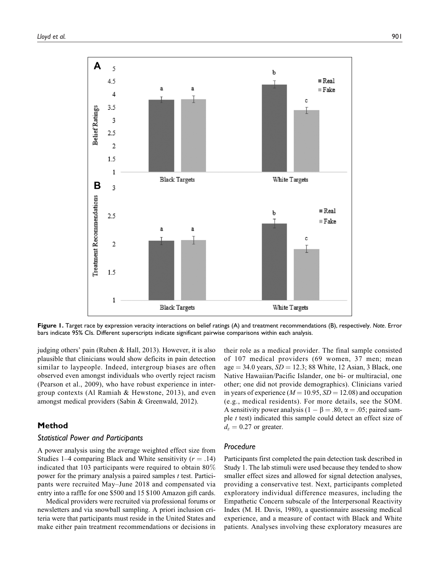

**Figure 1.** Target race by expression veracity interactions on belief ratings (A) and treatment recommendations (B), respectively. *Note*. Error bars indicate 95% CIs. Different superscripts indicate significant pairwise comparisons within each analysis.

judging others' pain (Ruben & Hall, 2013). However, it is also plausible that clinicians would show deficits in pain detection similar to laypeople. Indeed, intergroup biases are often observed even amongst individuals who overtly reject racism (Pearson et al., 2009), who have robust experience in intergroup contexts (Al Ramiah & Hewstone, 2013), and even amongst medical providers (Sabin & Greenwald, 2012).

# **Method**

### *Statistical Power and Participants*

A power analysis using the average weighted effect size from Studies 1–4 comparing Black and White sensitivity ( $r = .14$ ) indicated that 103 participants were required to obtain 80% power for the primary analysis a paired samples  $t$  test. Participants were recruited May–June 2018 and compensated via entry into a raffle for one \$500 and 15 \$100 Amazon gift cards.

Medical providers were recruited via professional forums or newsletters and via snowball sampling. A priori inclusion criteria were that participants must reside in the United States and make either pain treatment recommendations or decisions in

their role as a medical provider. The final sample consisted of 107 medical providers (69 women, 37 men; mean age  $= 34.0$  years,  $SD = 12.3$ ; 88 White, 12 Asian, 3 Black, one Native Hawaiian/Pacific Islander, one bi- or multiracial, one other; one did not provide demographics). Clinicians varied in years of experience ( $M = 10.95$ ,  $SD = 12.08$ ) and occupation (e.g., medical residents). For more details, see the SOM. A sensitivity power analysis ( $1 - \beta = .80$ ,  $\alpha = .05$ ; paired sample t test) indicated this sample could detect an effect size of  $d_z = 0.27$  or greater.

# *Procedure*

Participants first completed the pain detection task described in Study 1. The lab stimuli were used because they tended to show smaller effect sizes and allowed for signal detection analyses, providing a conservative test. Next, participants completed exploratory individual difference measures, including the Empathetic Concern subscale of the Interpersonal Reactivity Index (M. H. Davis, 1980), a questionnaire assessing medical experience, and a measure of contact with Black and White patients. Analyses involving these exploratory measures are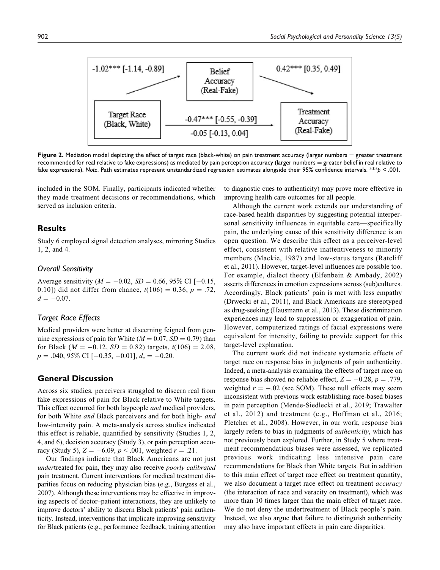

**Figure 2.** Mediation model depicting the effect of target race (black-white) on pain treatment accuracy (larger numbers  $=$  greater treatment recommended for real relative to fake expressions) as mediated by pain perception accuracy (larger numbers  $=$  greater belief in real relative to fake expressions). *Note*. Path estimates represent unstandardized regression estimates alongside their 95% confidence intervals. \*\*\**p* < .001.

included in the SOM. Finally, participants indicated whether they made treatment decisions or recommendations, which served as inclusion criteria.

# **Results**

Study 6 employed signal detection analyses, mirroring Studies 1, 2, and 4.

### *Overall Sensitivity*

Average sensitivity ( $M = -0.02$ ,  $SD = 0.66$ , 95% CI [-0.15, 0.10]) did not differ from chance,  $t(106) = 0.36$ ,  $p = .72$ ,  $d = -0.07$ .

# *Target Race Effects*

Medical providers were better at discerning feigned from genuine expressions of pain for White ( $M = 0.07$ ,  $SD = 0.79$ ) than for Black ( $M = -0.12$ ,  $SD = 0.82$ ) targets,  $t(106) = 2.08$ ,  $p = .040, 95\% \text{ CI} [-0.35, -0.01], d_z = -0.20.$ 

# **General Discussion**

Across six studies, perceivers struggled to discern real from fake expressions of pain for Black relative to White targets. This effect occurred for both laypeople *and* medical providers, for both White and Black perceivers and for both high- and low-intensity pain. A meta-analysis across studies indicated this effect is reliable, quantified by sensitivity (Studies 1, 2, 4, and 6), decision accuracy (Study 3), or pain perception accuracy (Study 5),  $Z = -6.09$ ,  $p < .001$ , weighted  $r = .21$ .

Our findings indicate that Black Americans are not just undertreated for pain, they may also receive *poorly calibrated* pain treatment. Current interventions for medical treatment disparities focus on reducing physician bias (e.g., Burgess et al., 2007). Although these interventions may be effective in improving aspects of doctor–patient interactions, they are unlikely to improve doctors' ability to discern Black patients' pain authenticity. Instead, interventions that implicate improving sensitivity for Black patients (e.g., performance feedback, training attention to diagnostic cues to authenticity) may prove more effective in improving health care outcomes for all people.

Although the current work extends our understanding of race-based health disparities by suggesting potential interpersonal sensitivity influences in equitable care—specifically pain, the underlying cause of this sensitivity difference is an open question. We describe this effect as a perceiver-level effect, consistent with relative inattentiveness to minority members (Mackie, 1987) and low-status targets (Ratcliff et al., 2011). However, target-level influences are possible too. For example, dialect theory (Elfenbein & Ambady, 2002) asserts differences in emotion expressions across (sub)cultures. Accordingly, Black patients' pain is met with less empathy (Drwecki et al., 2011), and Black Americans are stereotyped as drug-seeking (Hausmann et al., 2013). These discrimination experiences may lead to suppression or exaggeration of pain. However, computerized ratings of facial expressions were equivalent for intensity, failing to provide support for this target-level explanation.

The current work did not indicate systematic effects of target race on response bias in judgments of pain authenticity. Indeed, a meta-analysis examining the effects of target race on response bias showed no reliable effect,  $Z = -0.28$ ,  $p = .779$ , weighted  $r = -.02$  (see SOM). These null effects may seem inconsistent with previous work establishing race-based biases in pain perception (Mende-Siedlecki et al., 2019; Trawalter et al., 2012) and treatment (e.g., Hoffman et al., 2016; Pletcher et al., 2008). However, in our work, response bias largely refers to bias in judgments of *authenticity*, which has not previously been explored. Further, in Study 5 where treatment recommendations biases were assessed, we replicated previous work indicating less intensive pain care recommendations for Black than White targets. But in addition to this main effect of target race effect on treatment quantity, we also document a target race effect on treatment *accuracy* (the interaction of race and veracity on treatment), which was more than 10 times larger than the main effect of target race. We do not deny the undertreatment of Black people's pain. Instead, we also argue that failure to distinguish authenticity may also have important effects in pain care disparities.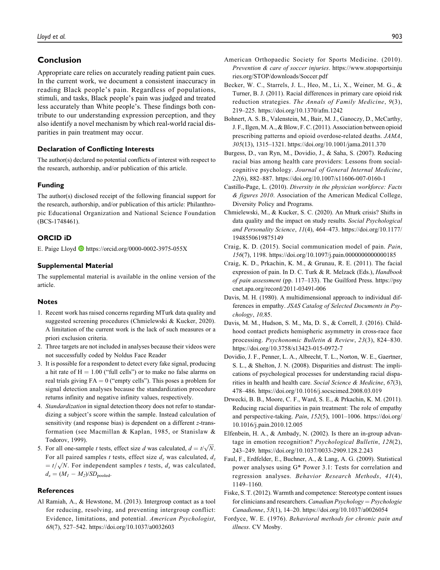# **Conclusion**

Appropriate care relies on accurately reading patient pain cues. In the current work, we document a consistent inaccuracy in reading Black people's pain. Regardless of populations, stimuli, and tasks, Black people's pain was judged and treated less accurately than White people's. These findings both contribute to our understanding expression perception, and they also identify a novel mechanism by which real-world racial disparities in pain treatment may occur.

### **Declaration of Conflicting Interests**

The author(s) declared no potential conflicts of interest with respect to the research, authorship, and/or publication of this article.

#### **Funding**

The author(s) disclosed receipt of the following financial support for the research, authorship, and/or publication of this article: Philanthropic Educational Organization and National Science Foundation (BCS-1748461).

#### **ORCID iD**

E. Paige Lloyd  $\bullet$  https://orcid.org/0000-0002-3975-055X

### **Supplemental Material**

The supplemental material is available in the online version of the article.

#### **Notes**

- 1. Recent work has raised concerns regarding MTurk data quality and suggested screening procedures (Chmielewski & Kucker, 2020). A limitation of the current work is the lack of such measures or a priori exclusion criteria.
- 2. Three targets are not included in analyses because their videos were not successfully coded by Noldus Face Reader
- 3. It is possible for a respondent to detect every fake signal, producing a hit rate of  $H = 1.00$  ("full cells") or to make no false alarms on real trials giving  $FA = 0$  ("empty cells"). This poses a problem for signal detection analyses because the standardization procedure returns infinity and negative infinity values, respectively.
- 4. Standardization in signal detection theory does not refer to standardizing a subject's score within the sample. Instead calculation of sensitivity (and response bias) is dependent on a different z-transformation (see Macmillan & Kaplan, 1985, or Stanislaw & Todorov, 1999).
- 5. For all one-sample *t* tests, effect size *d* was calculated,  $d = t/\sqrt{N}$ . For all paired samples t tests, effect size  $d_z$  was calculated,  $d_z$  $= t/\sqrt{N}$ . For independent samples t tests,  $d_s$  was calculated,  $d_s = (M_1 - M_2)/SD_{pooled}.$

#### **References**

Al Ramiah, A., & Hewstone, M. (2013). Intergroup contact as a tool for reducing, resolving, and preventing intergroup conflict: Evidence, limitations, and potential. American Psychologist, 68(7), 527–542. https://doi.org/10.1037/a0032603

- American Orthopaedic Society for Sports Medicine. (2010). Prevention & care of soccer injuries. https://www.stopsportsinju ries.org/STOP/downloads/Soccer.pdf
- Becker, W. C., Starrels, J. L., Heo, M., Li, X., Weiner, M. G., & Turner, B. J. (2011). Racial differences in primary care opioid risk reduction strategies. The Annals of Family Medicine, 9(3), 219–225. https://doi.org/10.1370/afm.1242
- Bohnert, A. S. B., Valenstein, M., Bair, M. J., Ganoczy, D., McCarthy, J. F., Ilgen, M. A., & Blow, F. C. (2011). Association between opioid prescribing patterns and opioid overdose-related deaths. JAMA, 305(13), 1315–1321. https://doi.org/10.1001/jama.2011.370
- Burgess, D., van Ryn, M., Dovidio, J., & Saha, S. (2007). Reducing racial bias among health care providers: Lessons from socialcognitive psychology. Journal of General Internal Medicine, 22(6), 882–887. https://doi.org/10.1007/s11606-007-0160-1
- Castillo-Page, L. (2010). Diversity in the physician workforce: Facts & figures 2010. Association of the American Medical College, Diversity Policy and Programs.
- Chmielewski, M., & Kucker, S. C. (2020). An Mturk crisis? Shifts in data quality and the impact on study results. Social Psychological and Personality Science, 11(4), 464–473. https://doi.org/10.1177/ 1948550619875149
- Craig, K. D. (2015). Social communication model of pain. Pain, 156(7), 1198. https://doi.org/10.1097/j.pain.0000000000000185
- Craig, K. D., Prkachin, K. M., & Grunau, R. E. (2011). The facial expression of pain. In D. C. Turk & R. Melzack (Eds.), Handbook of pain assessment (pp. 117–133). The Guilford Press. https://psy cnet.apa.org/record/2011-03491-006
- Davis, M. H. (1980). A multidimensional approach to individual differences in empathy. JSAS Catalog of Selected Documents in Psychology, 10,85.
- Davis, M. M., Hudson, S. M., Ma, D. S., & Correll, J. (2016). Childhood contact predicts hemispheric asymmetry in cross-race face processing. Psychonomic Bulletin & Review, 23(3), 824–830. https://doi.org/10.3758/s13423-015-0972-7
- Dovidio, J. F., Penner, L. A., Albrecht, T. L., Norton, W. E., Gaertner, S. L., & Shelton, J. N. (2008). Disparities and distrust: The implications of psychological processes for understanding racial disparities in health and health care. Social Science & Medicine, 67(3), 478–486. https://doi.org/10.1016/j.socscimed.2008.03.019
- Drwecki, B. B., Moore, C. F., Ward, S. E., & Prkachin, K. M. (2011). Reducing racial disparities in pain treatment: The role of empathy and perspective-taking. Pain, 152(5), 1001–1006. https://doi.org/ 10.1016/j.pain.2010.12.005
- Elfenbein, H. A., & Ambady, N. (2002). Is there an in-group advantage in emotion recognition? Psychological Bulletin, 128(2), 243–249. https://doi.org/10.1037/0033-2909.128.2.243
- Faul, F., Erdfelder, E., Buchner, A., & Lang, A. G. (2009). Statistical power analyses using G\* Power 3.1: Tests for correlation and regression analyses. Behavior Research Methods, 41(4), 1149–1160.
- Fiske, S. T. (2012). Warmth and competence: Stereotype content issues for clinicians and researchers. *Canadian Psychology* =  $P$ *sychologie* Canadienne, 53(1), 14–20. https://doi.org/10.1037/a0026054
- Fordyce, W. E. (1976). Behavioral methods for chronic pain and illness. CV Mosby.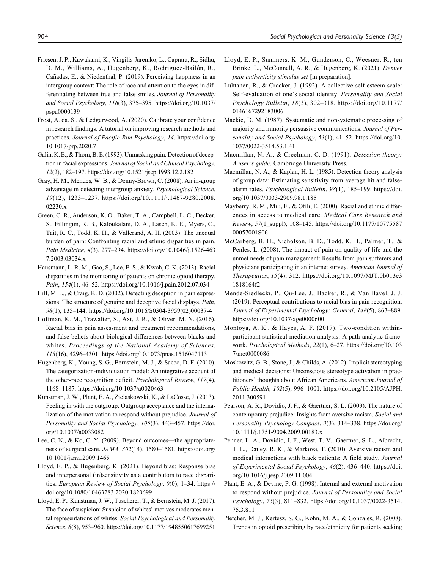- Friesen, J. P., Kawakami, K., Vingilis-Jaremko, L., Caprara, R., Sidhu, D. M., Williams, A., Hugenberg, K., Rodriguez-Bailón, R., Cañadas, E., & Niedenthal, P. (2019). Perceiving happiness in an intergroup context: The role of race and attention to the eyes in differentiating between true and false smiles. Journal of Personality and Social Psychology, 116(3), 375–395. https://doi.org/10.1037/ pspa0000139
- Frost, A. da. S., & Ledgerwood, A. (2020). Calibrate your confidence in research findings: A tutorial on improving research methods and practices. Journal of Pacific Rim Psychology, 14. https://doi.org/ 10.1017/prp.2020.7
- Galin, K. E., & Thorn, B. E. (1993). Unmasking pain: Detection of deception in facial expressions. Journal of Social and Clinical Psychology, 12(2), 182–197. https://doi.org/10.1521/jscp.1993.12.2.182
- Gray, H. M., Mendes, W. B., & Denny-Brown, C. (2008). An in-group advantage in detecting intergroup anxiety. Psychological Science, 19(12), 1233–1237. https://doi.org/10.1111/j.1467-9280.2008. 02230.x
- Green, C. R., Anderson, K. O., Baker, T. A., Campbell, L. C., Decker, S., Fillingim, R. B., Kaloukalani, D. A., Lasch, K. E., Myers, C., Tait, R. C., Todd, K. H., & Vallerand, A. H. (2003). The unequal burden of pain: Confronting racial and ethnic disparities in pain. Pain Medicine, 4(3), 277–294. https://doi.org/10.1046/j.1526-463 7.2003.03034.x
- Hausmann, L. R. M., Gao, S., Lee, E. S., & Kwoh, C. K. (2013). Racial disparities in the monitoring of patients on chronic opioid therapy. Pain, 154(1), 46–52. https://doi.org/10.1016/j.pain.2012.07.034
- Hill, M. L., & Craig, K. D. (2002). Detecting deception in pain expressions: The structure of genuine and deceptive facial displays. Pain, 98(1), 135–144. https://doi.org/10.1016/S0304-3959(02)00037-4
- Hoffman, K. M., Trawalter, S., Axt, J. R., & Oliver, M. N. (2016). Racial bias in pain assessment and treatment recommendations, and false beliefs about biological differences between blacks and whites. Proceedings of the National Academy of Sciences, 113(16), 4296–4301. https://doi.org/10.1073/pnas.1516047113
- Hugenberg, K., Young, S. G., Bernstein, M. J., & Sacco, D. F. (2010). The categorization-individuation model: An integrative account of the other-race recognition deficit. Psychological Review, 117(4), 1168–1187. https://doi.org/10.1037/a0020463
- Kunstman, J. W., Plant, E. A., Zielaskowski, K., & LaCosse, J. (2013). Feeling in with the outgroup: Outgroup acceptance and the internalization of the motivation to respond without prejudice. Journal of Personality and Social Psychology, 105(3), 443–457. https://doi. org/10.1037/a0033082
- Lee, C. N., & Ko, C. Y. (2009). Beyond outcomes—the appropriateness of surgical care. JAMA, 302(14), 1580–1581. https://doi.org/ 10.1001/jama.2009.1465
- Lloyd, E. P., & Hugenberg, K. (2021). Beyond bias: Response bias and interpersonal (in)sensitivity as a contributors to race disparities. European Review of Social Psychology, 0(0), 1–34. https:// doi.org/10.1080/10463283.2020.1820699
- Lloyd, E. P., Kunstman, J. W., Tuscherer, T., & Bernstein, M. J. (2017). The face of suspicion: Suspicion of whites' motives moderates mental representations of whites. Social Psychological and Personality Science, 8(8), 953–960. https://doi.org/10.1177/1948550617699251
- Lloyd, E. P., Summers, K. M., Gunderson, C., Weesner, R., ten Brinke, L., McConnell, A. R., & Hugenberg, K. (2021). Denver pain authenticity stimulus set [in preparation].
- Luhtanen, R., & Crocker, J. (1992). A collective self-esteem scale: Self-evaluation of one's social identity. Personality and Social Psychology Bulletin, 18(3), 302–318. https://doi.org/10.1177/ 0146167292183006
- Mackie, D. M. (1987). Systematic and nonsystematic processing of majority and minority persuasive communications. Journal of Personality and Social Psychology, 53(1), 41-52. https://doi.org/10. 1037/0022-3514.53.1.41
- Macmillan, N. A., & Creelman, C. D. (1991). Detection theory: A user's guide. Cambridge University Press.
- Macmillan, N. A., & Kaplan, H. L. (1985). Detection theory analysis of group data: Estimating sensitivity from average hit and falsealarm rates. Psychological Bulletin, 98(1), 185–199. https://doi. org/10.1037/0033-2909.98.1.185
- Mayberry, R. M., Mili, F., & Ofili, E. (2000). Racial and ethnic differences in access to medical care. Medical Care Research and Review, 57(1\_suppl), 108–145. https://doi.org/10.1177/10775587 00057001S06
- McCarberg, B. H., Nicholson, B. D., Todd, K. H., Palmer, T., & Penles, L. (2008). The impact of pain on quality of life and the unmet needs of pain management: Results from pain sufferers and physicians participating in an internet survey. American Journal of Therapeutics, 15(4), 312. https://doi.org/10.1097/MJT.0b013e3 1818164f2
- Mende-Siedlecki, P., Qu-Lee, J., Backer, R., & Van Bavel, J. J. (2019). Perceptual contributions to racial bias in pain recognition. Journal of Experimental Psychology: General, 148(5), 863–889. https://doi.org/10.1037/xge0000600
- Montoya, A. K., & Hayes, A. F. (2017). Two-condition withinparticipant statistical mediation analysis: A path-analytic framework. Psychological Methods, 22(1), 6–27. https://doi.org/10.103 7/met0000086
- Moskowitz, G. B., Stone, J., & Childs, A. (2012). Implicit stereotyping and medical decisions: Unconscious stereotype activation in practitioners' thoughts about African Americans. American Journal of Public Health, 102(5), 996–1001. https://doi.org/10.2105/AJPH. 2011.300591
- Pearson, A. R., Dovidio, J. F., & Gaertner, S. L. (2009). The nature of contemporary prejudice: Insights from aversive racism. Social and Personality Psychology Compass, 3(3), 314–338. https://doi.org/ 10.1111/j.1751-9004.2009.00183.x
- Penner, L. A., Dovidio, J. F., West, T. V., Gaertner, S. L., Albrecht, T. L., Dailey, R. K., & Markova, T. (2010). Aversive racism and medical interactions with black patients: A field study. Journal of Experimental Social Psychology, 46(2), 436–440. https://doi. org/10.1016/j.jesp.2009.11.004
- Plant, E. A., & Devine, P. G. (1998). Internal and external motivation to respond without prejudice. Journal of Personality and Social Psychology, 75(3), 811–832. https://doi.org/10.1037/0022-3514. 75.3.811
- Pletcher, M. J., Kertesz, S. G., Kohn, M. A., & Gonzales, R. (2008). Trends in opioid prescribing by race/ethnicity for patients seeking